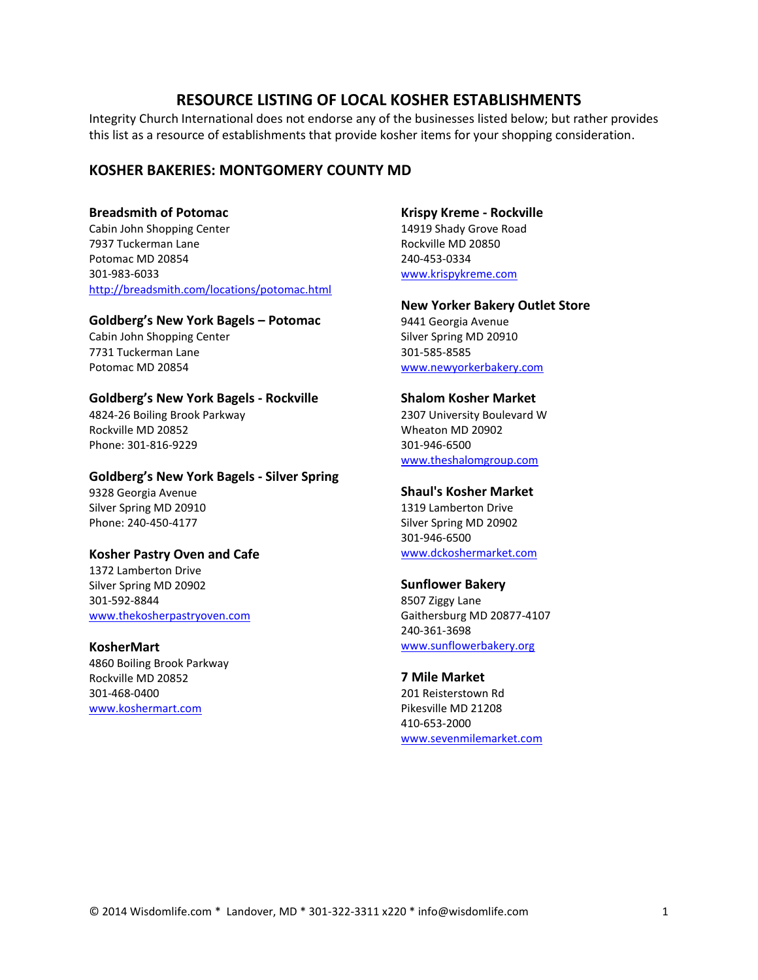# **RESOURCE LISTING OF LOCAL KOSHER ESTABLISHMENTS**

Integrity Church International does not endorse any of the businesses listed below; but rather provides this list as a resource of establishments that provide kosher items for your shopping consideration.

# **KOSHER BAKERIES: MONTGOMERY COUNTY MD**

## **Breadsmith of Potomac**

Cabin John Shopping Center 7937 Tuckerman Lane Potomac MD 20854 301-983-6033 <http://breadsmith.com/locations/potomac.html>

## **Goldberg's New York Bagels – Potomac**

Cabin John Shopping Center 7731 Tuckerman Lane Potomac MD 20854

# **Goldberg's New York Bagels - Rockville**

4824-26 Boiling Brook Parkway Rockville MD 20852 Phone: 301-816-9229

# **Goldberg's New York Bagels - Silver Spring**

9328 Georgia Avenue Silver Spring MD 20910 Phone: 240-450-4177

## **Kosher Pastry Oven and Cafe**

1372 Lamberton Drive Silver Spring MD 20902 301-592-8844 [www.thekosherpastryoven.com](http://www.thekosherpastryoven.com/)

## **KosherMart**

4860 Boiling Brook Parkway Rockville MD 20852 301-468-0400 [www.koshermart.com](http://www.koshermart.com/)

#### **Krispy Kreme - Rockville**

14919 Shady Grove Road Rockville MD 20850 240-453-0334 [www.krispykreme.com](http://www.krispykreme.com/)

# **New Yorker Bakery Outlet Store**

9441 Georgia Avenue Silver Spring MD 20910 301-585-8585 [www.newyorkerbakery.com](http://www.newyorkerbakery.com/)

## **Shalom Kosher Market**

2307 University Boulevard W Wheaton MD 20902 301-946-6500 [www.theshalomgroup.com](http://www.theshalomgroup.com/)

# **Shaul's Kosher Market**

1319 Lamberton Drive Silver Spring MD 20902 301-946-6500 [www.dckoshermarket.com](http://www.dckoshermarket.com/)

## **Sunflower Bakery**

8507 Ziggy Lane Gaithersburg MD 20877-4107 240-361-3698 [www.sunflowerbakery.org](http://www.sunflowerbakery.org/)

# **7 Mile Market**

201 Reisterstown Rd Pikesville MD 21208 410-653-2000 [www.sevenmilemarket.com](http://www.sevenmilemarket.com/)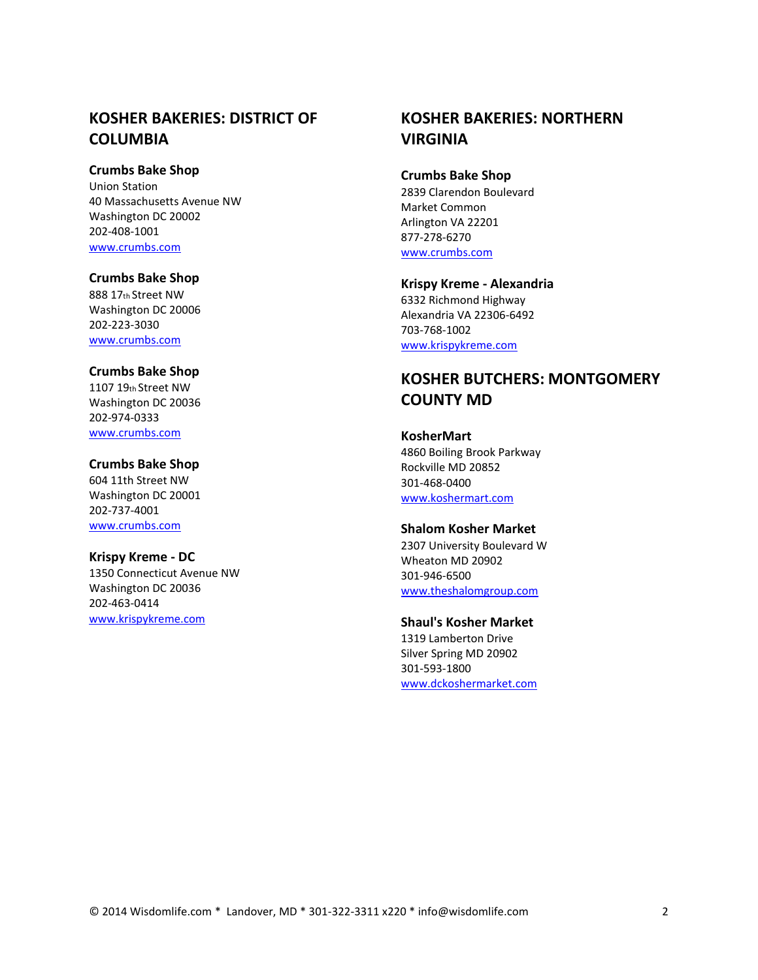# **KOSHER BAKERIES: DISTRICT OF COLUMBIA**

# **Crumbs Bake Shop**

Union Station 40 Massachusetts Avenue NW Washington DC 20002 202-408-1001 [www.crumbs.com](http://www.crumbs.com/)

# **Crumbs Bake Shop**

888 17th Street NW Washington DC 20006 202-223-3030 [www.crumbs.com](http://www.crumbs.com/)

## **Crumbs Bake Shop**

1107 19th Street NW Washington DC 20036 202-974-0333 [www.crumbs.com](http://www.crumbs.com/)

## **Crumbs Bake Shop**

604 11th Street NW Washington DC 20001 202-737-4001 [www.crumbs.com](http://www.crumbs.com/)

# **Krispy Kreme - DC**

1350 Connecticut Avenue NW Washington DC 20036 202-463-0414 [www.krispykreme.com](http://www.krispykreme.com/)

# **KOSHER BAKERIES: NORTHERN VIRGINIA**

#### **Crumbs Bake Shop**

2839 Clarendon Boulevard Market Common Arlington VA 22201 877-278-6270 [www.crumbs.com](http://www.crumbs.com/)

**Krispy Kreme - Alexandria**  6332 Richmond Highway Alexandria VA 22306-6492 703-768-1002 [www.krispykreme.com](http://www.krispykreme.com/)

# **KOSHER BUTCHERS: MONTGOMERY COUNTY MD**

# **KosherMart**  4860 Boiling Brook Parkway Rockville MD 20852 301-468-0400 [www.koshermart.com](http://www.koshermart.com/)

# **Shalom Kosher Market**

2307 University Boulevard W Wheaton MD 20902 301-946-6500 [www.theshalomgroup.com](http://www.theshalomgroup.com/)

# **Shaul's Kosher Market**

1319 Lamberton Drive Silver Spring MD 20902 301-593-1800 [www.dckoshermarket.com](http://www.dckoshermarket.com/)